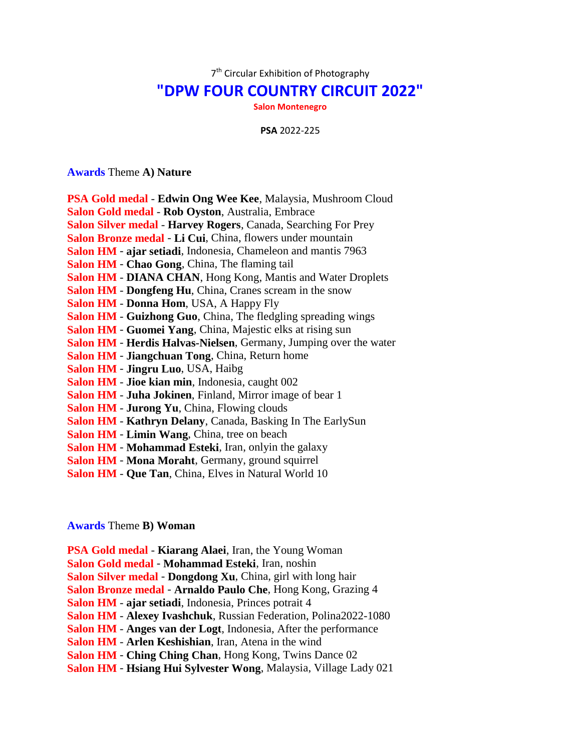7<sup>th</sup> Circular Exhibition of Photography

## **"DPW FOUR COUNTRY CIRCUIT 2022"**

**Salon Montenegro**

**PSA** 2022-225

## **Awards** Theme **A) Nature**

| PSA Gold medal - Edwin Ong Wee Kee, Malaysia, Mushroom Cloud          |
|-----------------------------------------------------------------------|
| Salon Gold medal - Rob Oyston, Australia, Embrace                     |
| <b>Salon Silver medal - Harvey Rogers, Canada, Searching For Prey</b> |
| Salon Bronze medal - Li Cui, China, flowers under mountain            |
| Salon HM - ajar setiadi, Indonesia, Chameleon and mantis 7963         |
| Salon HM - Chao Gong, China, The flaming tail                         |
| <b>Salon HM - DIANA CHAN, Hong Kong, Mantis and Water Droplets</b>    |
| Salon HM - Dongfeng Hu, China, Cranes scream in the snow              |
| <b>Salon HM - Donna Hom, USA, A Happy Fly</b>                         |
| Salon HM - Guizhong Guo, China, The fledgling spreading wings         |
| Salon HM - Guomei Yang, China, Majestic elks at rising sun            |
| Salon HM - Herdis Halvas-Nielsen, Germany, Jumping over the water     |
| <b>Salon HM - Jiangchuan Tong, China, Return home</b>                 |
| Salon HM - Jingru Luo, USA, Haibg                                     |
| <b>Salon HM - Jioe kian min, Indonesia, caught 002</b>                |
| Salon HM - Juha Jokinen, Finland, Mirror image of bear 1              |
| <b>Salon HM - Jurong Yu, China, Flowing clouds</b>                    |
| Salon HM - Kathryn Delany, Canada, Basking In The EarlySun            |
| Salon HM - Limin Wang, China, tree on beach                           |
| Salon HM - Mohammad Esteki, Iran, onlyin the galaxy                   |
| Salon HM - Mona Moraht, Germany, ground squirrel                      |
| Salon HM - Que Tan, China, Elves in Natural World 10                  |
|                                                                       |

## **Awards** Theme **B) Woman**

**PSA Gold medal** - **Kiarang Alaei**, Iran, the Young Woman **Salon Gold medal** - **Mohammad Esteki**, Iran, noshin **Salon Silver medal** - **Dongdong Xu**, China, girl with long hair **Salon Bronze medal** - **Arnaldo Paulo Che**, Hong Kong, Grazing 4 **Salon HM** - **ajar setiadi**, Indonesia, Princes potrait 4 **Salon HM** - **Alexey Ivashchuk**, Russian Federation, Polina2022-1080 **Salon HM** - **Anges van der Logt**, Indonesia, After the performance **Salon HM** - **Arlen Keshishian**, Iran, Atena in the wind **Salon HM** - **Ching Ching Chan**, Hong Kong, Twins Dance 02 **Salon HM** - **Hsiang Hui Sylvester Wong**, Malaysia, Village Lady 021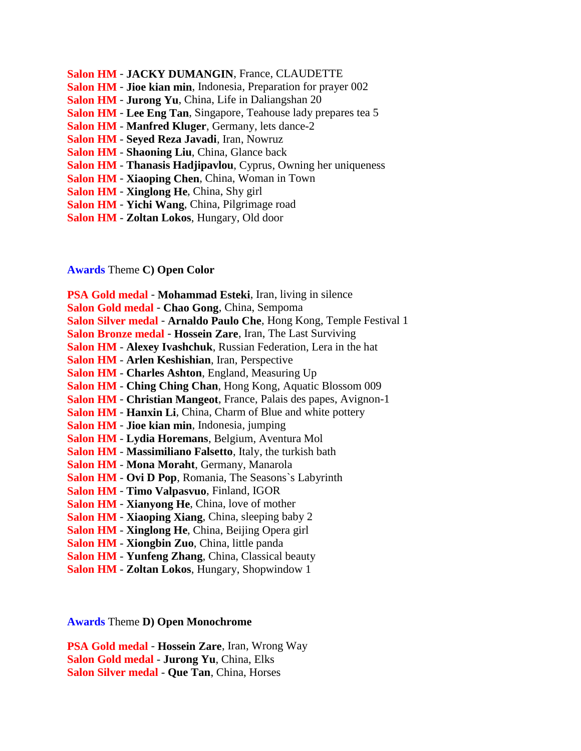- **Salon HM JACKY DUMANGIN**, France, CLAUDETTE
- **Salon HM Jioe kian min**, Indonesia, Preparation for prayer 002
- **Salon HM Jurong Yu**, China, Life in Daliangshan 20
- **Salon HM Lee Eng Tan**, Singapore, Teahouse lady prepares tea 5
- **Salon HM Manfred Kluger**, Germany, lets dance-2
- **Salon HM Seyed Reza Javadi**, Iran, Nowruz
- **Salon HM Shaoning Liu**, China, Glance back
- **Salon HM Thanasis Hadjipavlou**, Cyprus, Owning her uniqueness
- **Salon HM Xiaoping Chen**, China, Woman in Town
- **Salon HM Xinglong He**, China, Shy girl
- **Salon HM Yichi Wang**, China, Pilgrimage road
- **Salon HM Zoltan Lokos**, Hungary, Old door

## **Awards** Theme **C) Open Color**

**PSA Gold medal** - **Mohammad Esteki**, Iran, living in silence **Salon Gold medal** - **Chao Gong**, China, Sempoma **Salon Silver medal** - **Arnaldo Paulo Che**, Hong Kong, Temple Festival 1 **Salon Bronze medal** - **Hossein Zare**, Iran, The Last Surviving **Salon HM** - **Alexey Ivashchuk**, Russian Federation, Lera in the hat **Salon HM** - **Arlen Keshishian**, Iran, Perspective **Salon HM** - **Charles Ashton**, England, Measuring Up **Salon HM** - **Ching Ching Chan**, Hong Kong, Aquatic Blossom 009 **Salon HM** - **Christian Mangeot**, France, Palais des papes, Avignon-1 **Salon HM** - **Hanxin Li**, China, Charm of Blue and white pottery **Salon HM** - **Jioe kian min**, Indonesia, jumping **Salon HM** - **Lydia Horemans**, Belgium, Aventura Mol **Salon HM** - **Massimiliano Falsetto**, Italy, the turkish bath **Salon HM** - **Mona Moraht**, Germany, Manarola **Salon HM** - **Ovi D Pop**, Romania, The Seasons`s Labyrinth **Salon HM** - **Timo Valpasvuo**, Finland, IGOR **Salon HM** - **Xianyong He**, China, love of mother **Salon HM** - **Xiaoping Xiang**, China, sleeping baby 2 **Salon HM** - **Xinglong He**, China, Beijing Opera girl **Salon HM** - **Xiongbin Zuo**, China, little panda **Salon HM** - **Yunfeng Zhang**, China, Classical beauty **Salon HM** - **Zoltan Lokos**, Hungary, Shopwindow 1

**Awards** Theme **D) Open Monochrome**

**PSA Gold medal** - **Hossein Zare**, Iran, Wrong Way **Salon Gold medal** - **Jurong Yu**, China, Elks **Salon Silver medal** - **Que Tan**, China, Horses